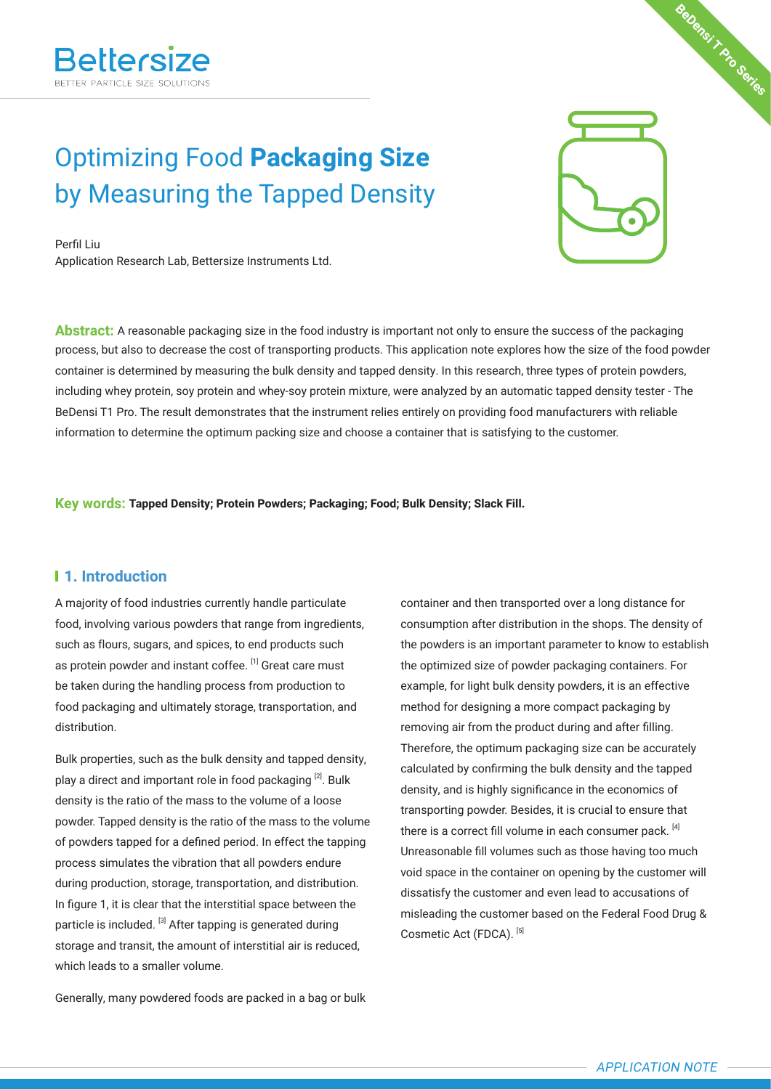# Optimizing Food **Packaging Size** by Measuring the Tapped Density

Perfil Liu Application Research Lab, Bettersize Instruments Ltd.

**Abstract:** A reasonable packaging size in the food industry is important not only to ensure the success of the packaging process, but also to decrease the cost of transporting products. This application note explores how the size of the food powder container is determined by measuring the bulk density and tapped density. In this research, three types of protein powders, including whey protein, soy protein and whey-soy protein mixture, were analyzed by an automatic tapped density tester - The BeDensi T1 Pro. The result demonstrates that the instrument relies entirely on providing food manufacturers with reliable information to determine the optimum packing size and choose a container that is satisfying to the customer.

**Key words: Tapped Density; Protein Powders; Packaging; Food; Bulk Density; Slack Fill.**

#### **1. Introduction**

A majority of food industries currently handle particulate food, involving various powders that range from ingredients, such as flours, sugars, and spices, to end products such as protein powder and instant coffee. [1] Great care must be taken during the handling process from production to food packaging and ultimately storage, transportation, and distribution.

Bulk properties, such as the bulk density and tapped density, play a direct and important role in food packaging [2]. Bulk density is the ratio of the mass to the volume of a loose powder. Tapped density is the ratio of the mass to the volume of powders tapped for a defined period. In effect the tapping process simulates the vibration that all powders endure during production, storage, transportation, and distribution. In figure 1, it is clear that the interstitial space between the particle is included. [3] After tapping is generated during storage and transit, the amount of interstitial air is reduced, which leads to a smaller volume.

Generally, many powdered foods are packed in a bag or bulk

container and then transported over a long distance for consumption after distribution in the shops. The density of the powders is an important parameter to know to establish the optimized size of powder packaging containers. For example, for light bulk density powders, it is an effective method for designing a more compact packaging by removing air from the product during and after filling. Therefore, the optimum packaging size can be accurately calculated by confirming the bulk density and the tapped density, and is highly significance in the economics of transporting powder. Besides, it is crucial to ensure that there is a correct fill volume in each consumer pack. [4] Unreasonable fill volumes such as those having too much void space in the container on opening by the customer will dissatisfy the customer and even lead to accusations of misleading the customer based on the Federal Food Drug & Cosmetic Act (FDCA). [5]

**BeDensi T Pro Series**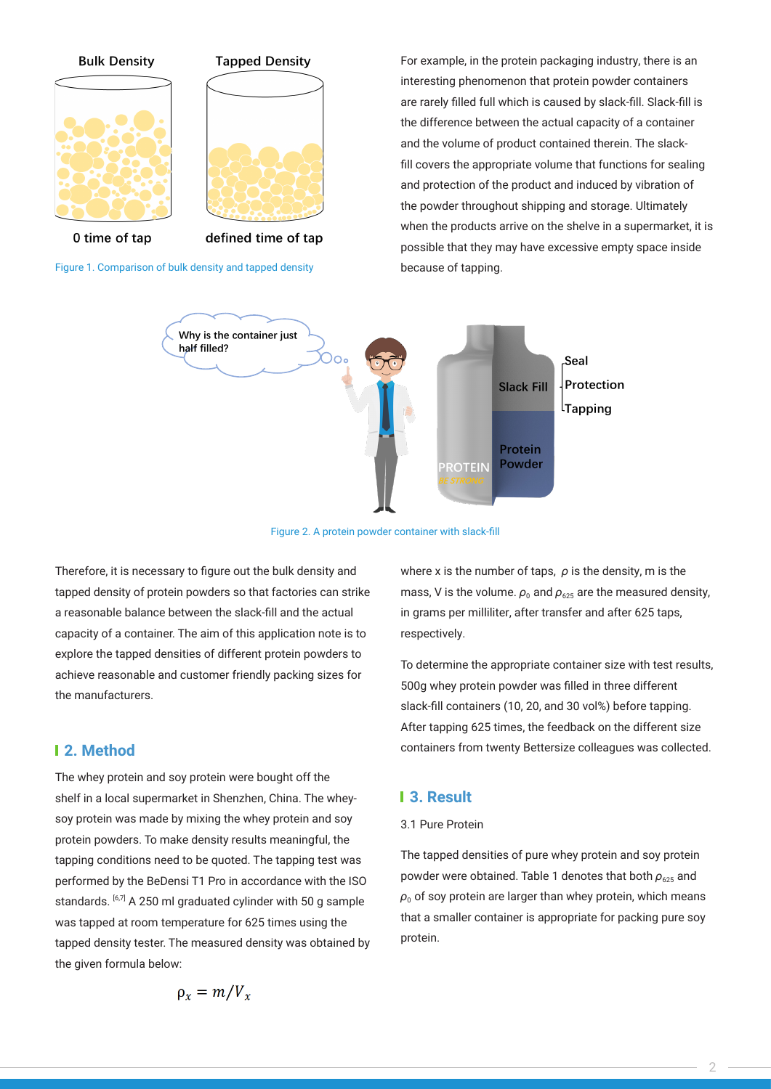

Figure 1. Comparison of bulk density and tapped density

For example, in the protein packaging industry, there is an interesting phenomenon that protein powder containers are rarely filled full which is caused by slack-fill. Slack-fill is the difference between the actual capacity of a container and the volume of product contained therein. The slackfill covers the appropriate volume that functions for sealing and protection of the product and induced by vibration of the powder throughout shipping and storage. Ultimately when the products arrive on the shelve in a supermarket, it is possible that they may have excessive empty space inside because of tapping.



Figure 2. A protein powder container with slack-fill

Therefore, it is necessary to figure out the bulk density and tapped density of protein powders so that factories can strike a reasonable balance between the slack-fill and the actual capacity of a container. The aim of this application note is to explore the tapped densities of different protein powders to achieve reasonable and customer friendly packing sizes for the manufacturers.

#### **2. Method**

The whey protein and soy protein were bought off the shelf in a local supermarket in Shenzhen, China. The wheysoy protein was made by mixing the whey protein and soy protein powders. To make density results meaningful, the tapping conditions need to be quoted. The tapping test was performed by the BeDensi T1 Pro in accordance with the ISO standards. <sup>[6,7]</sup> A 250 ml graduated cylinder with 50 g sample was tapped at room temperature for 625 times using the tapped density tester. The measured density was obtained by the given formula below:

where x is the number of taps, 
$$
\rho
$$
 is the density, m is the mass, V is the volume.  $\rho_0$  and  $\rho_{625}$  are the measured density, in grams per milliliter, after transfer and after 625 taps, respectively.

To determine the appropriate container size with test results, 500g whey protein powder was filled in three different slack-fill containers (10, 20, and 30 vol%) before tapping. After tapping 625 times, the feedback on the different size containers from twenty Bettersize colleagues was collected.

#### **3. Result**

#### 3.1 Pure Protein

The tapped densities of pure whey protein and soy protein powder were obtained. Table 1 denotes that both  $\rho_{625}$  and  $\rho_0$  of soy protein are larger than whey protein, which means that a smaller container is appropriate for packing pure soy protein.

$$
\rho_x = m/V_x
$$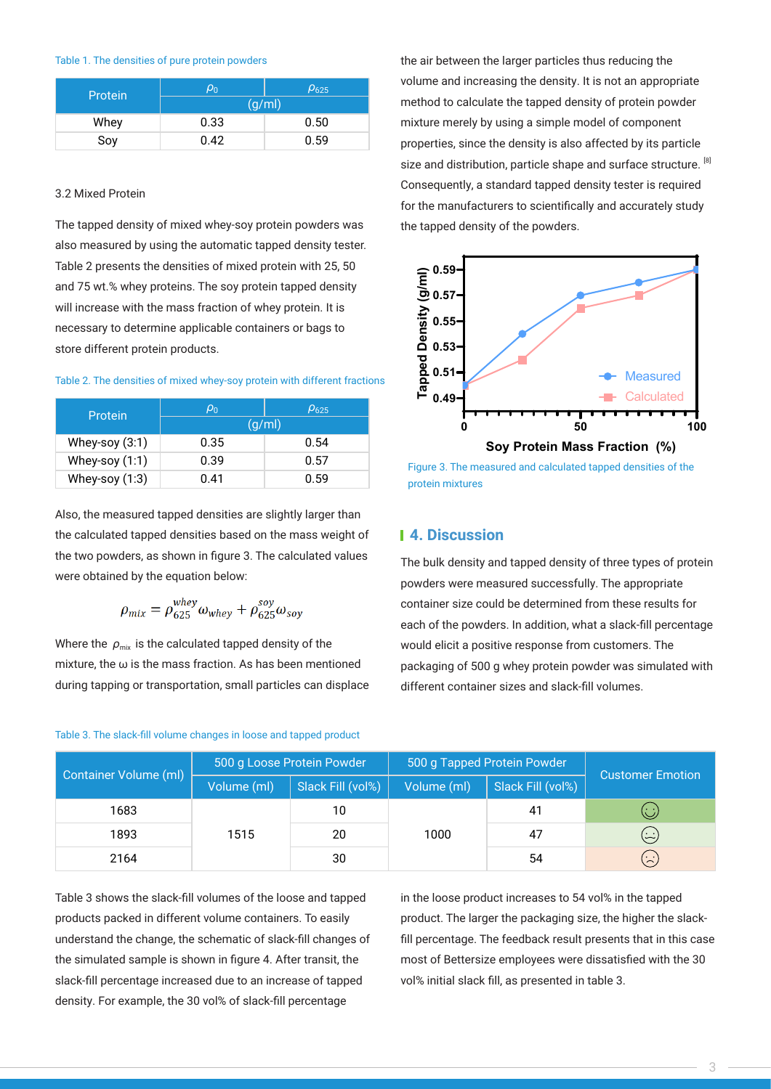#### Table 1. The densities of pure protein powders

| Protein | $\rho_0$ | $\rho_{625}$ |  |
|---------|----------|--------------|--|
|         | (g/ml)   |              |  |
| Whey    | 0.33     | 0.50         |  |
| Soy     | 0.42     | 0.59         |  |

#### 3.2 Mixed Protein

The tapped density of mixed whey-soy protein powders was the tapped density of the powders. also measured by using the automatic tapped density tester. Table 2 presents the densities of mixed protein with 25, 50 and 75 wt.% whey proteins. The soy protein tapped density will increase with the mass fraction of whey protein. It is necessary to determine applicable containers or bags to store different protein products.

|  | Table 2. The densities of mixed whey-soy protein with different fractions |  |  |  |  |  |  |
|--|---------------------------------------------------------------------------|--|--|--|--|--|--|
|--|---------------------------------------------------------------------------|--|--|--|--|--|--|

| Protein          | $\rho_0$ | $\rho_{625}$ |  |  |
|------------------|----------|--------------|--|--|
|                  | (g/ml)   |              |  |  |
| Whey-soy $(3:1)$ | 0.35     | 0.54         |  |  |
| Whey-soy $(1:1)$ | 0.39     | 0.57         |  |  |
| Whey-soy $(1:3)$ | 0.41     | 0.59         |  |  |

Also, the measured tapped densities are slightly larger than the calculated tapped densities based on the mass weight of the two powders, as shown in figure 3. The calculated values were obtained by the equation below:

$$
\rho_{mix} = \rho_{625}^{whey} \omega_{whey} + \rho_{625}^{soy} \omega_{soy}
$$

Where the  $\rho_{\text{mix}}$  is the calculated tapped density of the mixture, the ω is the mass fraction. As has been mentioned during tapping or transportation, small particles can displace the air between the larger particles thus reducing the volume and increasing the density. It is not an appropriate method to calculate the tapped density of protein powder mixture merely by using a simple model of component properties, since the density is also affected by its particle size and distribution, particle shape and surface structure. [8] Consequently, a standard tapped density tester is required for the manufacturers to scientifically and accurately study



Figure 3. The measured and calculated tapped densities of the protein mixtures

#### **4. Discussion**

The bulk density and tapped density of three types of protein powders were measured successfully. The appropriate container size could be determined from these results for each of the powders. In addition, what a slack-fill percentage would elicit a positive response from customers. The packaging of 500 g whey protein powder was simulated with different container sizes and slack-fill volumes.

| Container Volume (ml) | 500 g Loose Protein Powder |                   | 500 g Tapped Protein Powder |                         | <b>Customer Emotion</b>                |  |
|-----------------------|----------------------------|-------------------|-----------------------------|-------------------------|----------------------------------------|--|
|                       | Volume (ml)                | Slack Fill (vol%) | Volume (ml)                 | Slack Fill (vol%)<br>41 |                                        |  |
| 1683                  |                            | 10                |                             |                         | $\mathbb{C}$                           |  |
| 1893                  | 1515                       | 20                | 1000                        | 47                      | $\left(\frac{\cdot}{\cdot}\right)$     |  |
| 2164                  |                            | 30                |                             | 54                      | $\left(\dot{\widetilde{\cdot}}\right)$ |  |

Table 3 shows the slack-fill volumes of the loose and tapped products packed in different volume containers. To easily understand the change, the schematic of slack-fill changes of the simulated sample is shown in figure 4. After transit, the slack-fill percentage increased due to an increase of tapped density. For example, the 30 vol% of slack-fill percentage

in the loose product increases to 54 vol% in the tapped product. The larger the packaging size, the higher the slackfill percentage. The feedback result presents that in this case most of Bettersize employees were dissatisfied with the 30 vol% initial slack fill, as presented in table 3.

## Table 3. The slack-fill volume changes in loose and tapped product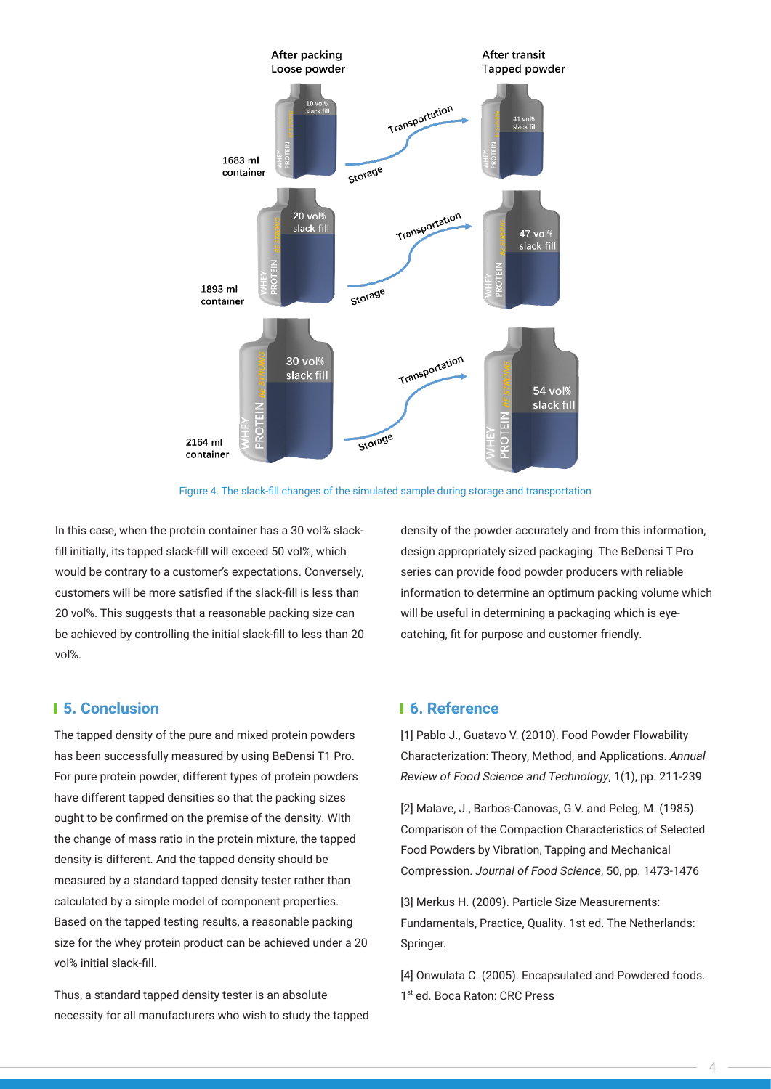

Figure 4. The slack-fill changes of the simulated sample during storage and transportation

In this case, when the protein container has a 30 vol% slackfill initially, its tapped slack-fill will exceed 50 vol%, which would be contrary to a customer's expectations. Conversely, customers will be more satisfied if the slack-fill is less than 20 vol%. This suggests that a reasonable packing size can be achieved by controlling the initial slack-fill to less than 20 vol%.

### density of the powder accurately and from this information, design appropriately sized packaging. The BeDensi T Pro series can provide food powder producers with reliable information to determine an optimum packing volume which will be useful in determining a packaging which is eyecatching, fit for purpose and customer friendly.

### **5. Conclusion 6. Reference**

The tapped density of the pure and mixed protein powders has been successfully measured by using BeDensi T1 Pro. For pure protein powder, different types of protein powders have different tapped densities so that the packing sizes ought to be confirmed on the premise of the density. With the change of mass ratio in the protein mixture, the tapped density is different. And the tapped density should be measured by a standard tapped density tester rather than calculated by a simple model of component properties. Based on the tapped testing results, a reasonable packing size for the whey protein product can be achieved under a 20 vol% initial slack-fill.

Thus, a standard tapped density tester is an absolute necessity for all manufacturers who wish to study the tapped

[1] Pablo J., Guatavo V. (2010). Food Powder Flowability Characterization: Theory, Method, and Applications. Annual Review of Food Science and Technology, 1(1), pp. 211-239

[2] Malave, J., Barbos-Canovas, G.V. and Peleg, M. (1985). Comparison of the Compaction Characteristics of Selected Food Powders by Vibration, Tapping and Mechanical Compression. Journal of Food Science, 50, pp. 1473-1476

[3] Merkus H. (2009). Particle Size Measurements: Fundamentals, Practice, Quality. 1st ed. The Netherlands: Springer.

[4] Onwulata C. (2005). Encapsulated and Powdered foods. 1st ed. Boca Raton: CRC Press